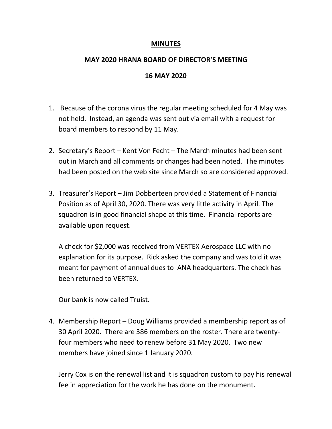## **MINUTES**

## **MAY 2020 HRANA BOARD OF DIRECTOR'S MEETING**

## **16 MAY 2020**

- 1. Because of the corona virus the regular meeting scheduled for 4 May was not held. Instead, an agenda was sent out via email with a request for board members to respond by 11 May.
- 2. Secretary's Report Kent Von Fecht The March minutes had been sent out in March and all comments or changes had been noted. The minutes had been posted on the web site since March so are considered approved.
- 3. Treasurer's Report Jim Dobberteen provided a Statement of Financial Position as of April 30, 2020. There was very little activity in April. The squadron is in good financial shape at this time. Financial reports are available upon request.

A check for \$2,000 was received from VERTEX Aerospace LLC with no explanation for its purpose. Rick asked the company and was told it was meant for payment of annual dues to ANA headquarters. The check has been returned to VERTEX.

Our bank is now called Truist.

4. Membership Report – Doug Williams provided a membership report as of 30 April 2020. There are 386 members on the roster. There are twentyfour members who need to renew before 31 May 2020. Two new members have joined since 1 January 2020.

Jerry Cox is on the renewal list and it is squadron custom to pay his renewal fee in appreciation for the work he has done on the monument.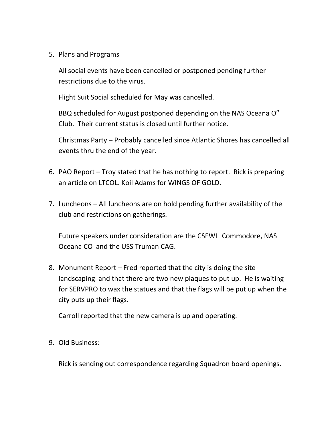5. Plans and Programs

All social events have been cancelled or postponed pending further restrictions due to the virus.

Flight Suit Social scheduled for May was cancelled.

BBQ scheduled for August postponed depending on the NAS Oceana O" Club. Their current status is closed until further notice.

Christmas Party – Probably cancelled since Atlantic Shores has cancelled all events thru the end of the year.

- 6. PAO Report Troy stated that he has nothing to report. Rick is preparing an article on LTCOL. Koil Adams for WINGS OF GOLD.
- 7. Luncheons All luncheons are on hold pending further availability of the club and restrictions on gatherings.

Future speakers under consideration are the CSFWL Commodore, NAS Oceana CO and the USS Truman CAG.

8. Monument Report – Fred reported that the city is doing the site landscaping and that there are two new plaques to put up. He is waiting for SERVPRO to wax the statues and that the flags will be put up when the city puts up their flags.

Carroll reported that the new camera is up and operating.

9. Old Business:

Rick is sending out correspondence regarding Squadron board openings.